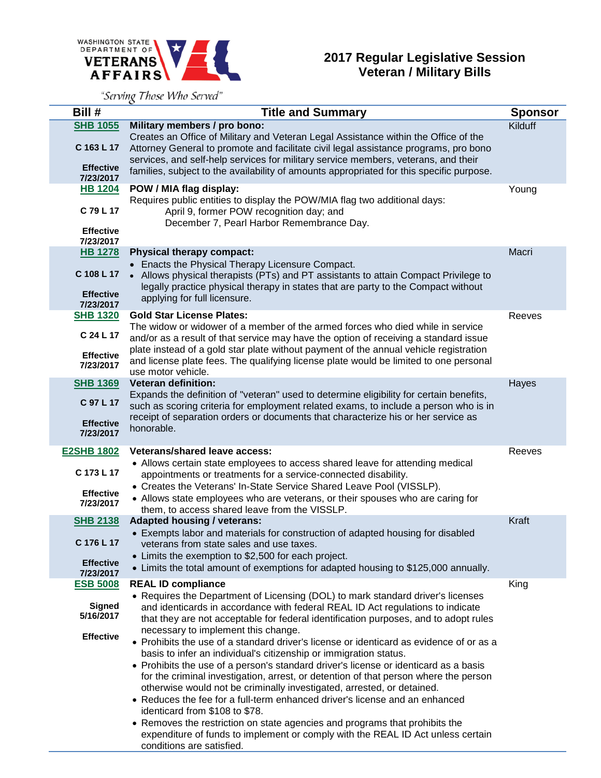

## **2017 Regular Legislative Session Veteran / Military Bills**

"Serving Those Who Served"

| Bill #                                                       | <b>Title and Summary</b>                                                                                                                                                                                                                                                                                                                                 | <b>Sponsor</b> |
|--------------------------------------------------------------|----------------------------------------------------------------------------------------------------------------------------------------------------------------------------------------------------------------------------------------------------------------------------------------------------------------------------------------------------------|----------------|
| <b>SHB 1055</b><br>C 163 L 17                                | Military members / pro bono:<br>Creates an Office of Military and Veteran Legal Assistance within the Office of the<br>Attorney General to promote and facilitate civil legal assistance programs, pro bono<br>services, and self-help services for military service members, veterans, and their                                                        | Kilduff        |
| <b>Effective</b><br>7/23/2017                                | families, subject to the availability of amounts appropriated for this specific purpose.                                                                                                                                                                                                                                                                 |                |
| <b>HB 1204</b><br>C 79 L 17<br><b>Effective</b><br>7/23/2017 | POW / MIA flag display:<br>Requires public entities to display the POW/MIA flag two additional days:<br>April 9, former POW recognition day; and<br>December 7, Pearl Harbor Remembrance Day.                                                                                                                                                            | Young          |
| <b>HB 1278</b>                                               | <b>Physical therapy compact:</b>                                                                                                                                                                                                                                                                                                                         | Macri          |
| C 108 L 17                                                   | • Enacts the Physical Therapy Licensure Compact.<br>• Allows physical therapists (PTs) and PT assistants to attain Compact Privilege to<br>legally practice physical therapy in states that are party to the Compact without                                                                                                                             |                |
| <b>Effective</b><br>7/23/2017                                | applying for full licensure.                                                                                                                                                                                                                                                                                                                             |                |
| <b>SHB 1320</b>                                              | <b>Gold Star License Plates:</b>                                                                                                                                                                                                                                                                                                                         | Reeves         |
| C 24 L 17<br><b>Effective</b><br>7/23/2017                   | The widow or widower of a member of the armed forces who died while in service<br>and/or as a result of that service may have the option of receiving a standard issue<br>plate instead of a gold star plate without payment of the annual vehicle registration<br>and license plate fees. The qualifying license plate would be limited to one personal |                |
| <b>SHB 1369</b>                                              | use motor vehicle.<br><b>Veteran definition:</b>                                                                                                                                                                                                                                                                                                         | Hayes          |
| C 97 L 17                                                    | Expands the definition of "veteran" used to determine eligibility for certain benefits,<br>such as scoring criteria for employment related exams, to include a person who is in                                                                                                                                                                          |                |
| <b>Effective</b><br>7/23/2017                                | receipt of separation orders or documents that characterize his or her service as<br>honorable.                                                                                                                                                                                                                                                          |                |
| <b>E2SHB 1802</b>                                            | <b>Veterans/shared leave access:</b>                                                                                                                                                                                                                                                                                                                     | Reeves         |
| C 173 L 17                                                   | • Allows certain state employees to access shared leave for attending medical<br>appointments or treatments for a service-connected disability.                                                                                                                                                                                                          |                |
| <b>Effective</b><br>7/23/2017                                | • Creates the Veterans' In-State Service Shared Leave Pool (VISSLP).<br>• Allows state employees who are veterans, or their spouses who are caring for<br>them, to access shared leave from the VISSLP.                                                                                                                                                  |                |
| <b>SHB 2138</b>                                              | <b>Adapted housing / veterans:</b>                                                                                                                                                                                                                                                                                                                       | Kraft          |
| C 176 L 17                                                   | • Exempts labor and materials for construction of adapted housing for disabled<br>veterans from state sales and use taxes.<br>• Limits the exemption to \$2,500 for each project.                                                                                                                                                                        |                |
| <b>Effective</b><br>7/23/2017                                | • Limits the total amount of exemptions for adapted housing to \$125,000 annually.                                                                                                                                                                                                                                                                       |                |
| <b>ESB 5008</b>                                              | <b>REAL ID compliance</b>                                                                                                                                                                                                                                                                                                                                | King           |
| <b>Signed</b><br>5/16/2017                                   | • Requires the Department of Licensing (DOL) to mark standard driver's licenses<br>and identicards in accordance with federal REAL ID Act regulations to indicate<br>that they are not acceptable for federal identification purposes, and to adopt rules<br>necessary to implement this change.                                                         |                |
| <b>Effective</b>                                             | • Prohibits the use of a standard driver's license or identicard as evidence of or as a<br>basis to infer an individual's citizenship or immigration status.                                                                                                                                                                                             |                |
|                                                              | • Prohibits the use of a person's standard driver's license or identicard as a basis<br>for the criminal investigation, arrest, or detention of that person where the person<br>otherwise would not be criminally investigated, arrested, or detained.                                                                                                   |                |
|                                                              | • Reduces the fee for a full-term enhanced driver's license and an enhanced<br>identicard from \$108 to \$78.                                                                                                                                                                                                                                            |                |
|                                                              | • Removes the restriction on state agencies and programs that prohibits the<br>expenditure of funds to implement or comply with the REAL ID Act unless certain<br>conditions are satisfied.                                                                                                                                                              |                |